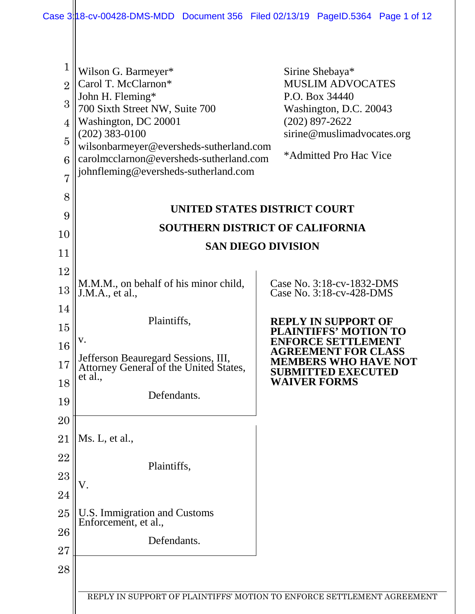| $\mathbf{1}$   | Wilson G. Barmeyer*                                                           | Sirine Shebaya*                                                                                                     |  |  |
|----------------|-------------------------------------------------------------------------------|---------------------------------------------------------------------------------------------------------------------|--|--|
| $\overline{2}$ | Carol T. McClarnon*                                                           | <b>MUSLIM ADVOCATES</b>                                                                                             |  |  |
| 3              | John H. Fleming*<br>700 Sixth Street NW, Suite 700                            | P.O. Box 34440<br>Washington, D.C. 20043                                                                            |  |  |
| $\overline{4}$ | Washington, DC 20001                                                          | $(202)$ 897-2622                                                                                                    |  |  |
| $\overline{5}$ | $(202)$ 383-0100<br>wilsonbarmeyer@eversheds-sutherland.com                   | sirine@muslimadvocates.org                                                                                          |  |  |
| 6              | carolmcclarnon@eversheds-sutherland.com                                       | *Admitted Pro Hac Vice                                                                                              |  |  |
| 7              | johnfleming@eversheds-sutherland.com                                          |                                                                                                                     |  |  |
| 8              |                                                                               |                                                                                                                     |  |  |
| 9              | UNITED STATES DISTRICT COURT                                                  |                                                                                                                     |  |  |
| 10             | <b>SOUTHERN DISTRICT OF CALIFORNIA</b><br><b>SAN DIEGO DIVISION</b>           |                                                                                                                     |  |  |
| 11             |                                                                               |                                                                                                                     |  |  |
| 12             |                                                                               |                                                                                                                     |  |  |
| 13             | M.M.M., on behalf of his minor child,<br>J.M.A., et al.,                      | Case No. 3:18-cv-1832-DMS<br>Case No. 3:18-cv-428-DMS                                                               |  |  |
| 14             |                                                                               |                                                                                                                     |  |  |
| 15             | Plaintiffs,                                                                   | <b>REPLY IN SUPPORT OF</b><br><b>PLAINTIFFS' MOTION TO</b>                                                          |  |  |
| 16             | V.                                                                            | <b>ENFORCE SETTLEMENT</b><br><b>AGREEMENT FOR CLASS</b><br><b>MEMBERS WHO HAVE NOT</b><br><b>SUBMITTED EXECUTED</b> |  |  |
| 17             | Jefferson Beauregard Sessions, III,<br>Attorney General of the United States, |                                                                                                                     |  |  |
| 18             | et al.,                                                                       | <b>WAIVER FORMS</b>                                                                                                 |  |  |
| 19             | Defendants.                                                                   |                                                                                                                     |  |  |
| 20             |                                                                               |                                                                                                                     |  |  |
| 21             | Ms. L, et al.,                                                                |                                                                                                                     |  |  |
| 22             | Plaintiffs,<br>V.                                                             |                                                                                                                     |  |  |
| 23             |                                                                               |                                                                                                                     |  |  |
| 24             |                                                                               |                                                                                                                     |  |  |
| 25             | U.S. Immigration and Customs<br>Enforcement, et al.,                          |                                                                                                                     |  |  |
| 26             | Defendants.                                                                   |                                                                                                                     |  |  |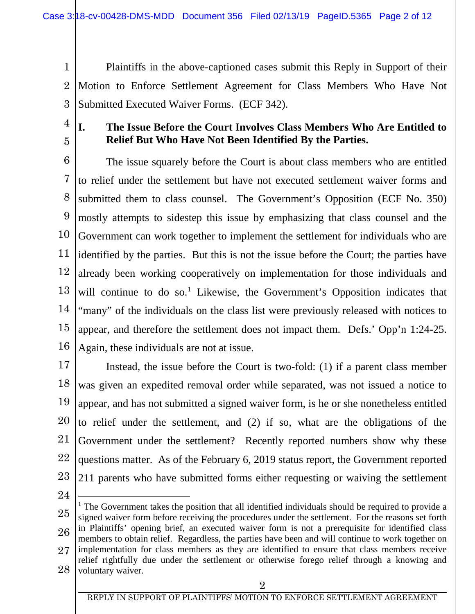- 1 2 3 Plaintiffs in the above-captioned cases submit this Reply in Support of their Motion to Enforce Settlement Agreement for Class Members Who Have Not Submitted Executed Waiver Forms. (ECF 342).
- 4

5

## **I. The Issue Before the Court Involves Class Members Who Are Entitled to Relief But Who Have Not Been Identified By the Parties.**

6 7 8 9 10 11 12 13 14 15 16 The issue squarely before the Court is about class members who are entitled to relief under the settlement but have not executed settlement waiver forms and submitted them to class counsel. The Government's Opposition (ECF No. 350) mostly attempts to sidestep this issue by emphasizing that class counsel and the Government can work together to implement the settlement for individuals who are identified by the parties. But this is not the issue before the Court; the parties have already been working cooperatively on implementation for those individuals and will continue to do so.<sup>[1](#page-1-0)</sup> Likewise, the Government's Opposition indicates that "many" of the individuals on the class list were previously released with notices to appear, and therefore the settlement does not impact them. Defs.' Opp'n 1:24-25. Again, these individuals are not at issue.

17 18 19 20 21 22 23 Instead, the issue before the Court is two-fold: (1) if a parent class member was given an expedited removal order while separated, was not issued a notice to appear, and has not submitted a signed waiver form, is he or she nonetheless entitled to relief under the settlement, and (2) if so, what are the obligations of the Government under the settlement? Recently reported numbers show why these questions matter. As of the February 6, 2019 status report, the Government reported 211 parents who have submitted forms either requesting or waiving the settlement

24

 $\overline{a}$ 

<span id="page-1-0"></span>25 26 27 28  $<sup>1</sup>$  The Government takes the position that all identified individuals should be required to provide a</sup> signed waiver form before receiving the procedures under the settlement. For the reasons set forth in Plaintiffs' opening brief, an executed waiver form is not a prerequisite for identified class members to obtain relief. Regardless, the parties have been and will continue to work together on implementation for class members as they are identified to ensure that class members receive relief rightfully due under the settlement or otherwise forego relief through a knowing and voluntary waiver.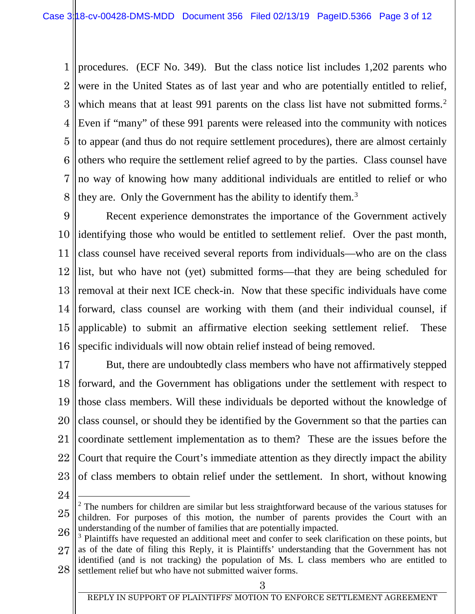1 2 3 4  $\overline{5}$ 6 7 8 procedures. (ECF No. 349). But the class notice list includes 1,202 parents who were in the United States as of last year and who are potentially entitled to relief, which means that at least 991 parents on the class list have not submitted forms.<sup>[2](#page-2-0)</sup> Even if "many" of these 991 parents were released into the community with notices to appear (and thus do not require settlement procedures), there are almost certainly others who require the settlement relief agreed to by the parties. Class counsel have no way of knowing how many additional individuals are entitled to relief or who they are. Only the Government has the ability to identify them.<sup>[3](#page-2-1)</sup>

9 10 11 12 13 14 15 16 Recent experience demonstrates the importance of the Government actively identifying those who would be entitled to settlement relief. Over the past month, class counsel have received several reports from individuals—who are on the class list, but who have not (yet) submitted forms—that they are being scheduled for removal at their next ICE check-in. Now that these specific individuals have come forward, class counsel are working with them (and their individual counsel, if applicable) to submit an affirmative election seeking settlement relief. These specific individuals will now obtain relief instead of being removed.

17 18 19 20 21 22 23 But, there are undoubtedly class members who have not affirmatively stepped forward, and the Government has obligations under the settlement with respect to those class members. Will these individuals be deported without the knowledge of class counsel, or should they be identified by the Government so that the parties can coordinate settlement implementation as to them? These are the issues before the Court that require the Court's immediate attention as they directly impact the ability of class members to obtain relief under the settlement. In short, without knowing

24

 $\overline{a}$ 

<span id="page-2-0"></span><sup>25</sup> 26 <sup>2</sup> The numbers for children are similar but less straightforward because of the various statuses for children. For purposes of this motion, the number of parents provides the Court with an understanding of the number of families that are potentially impacted.

<span id="page-2-1"></span><sup>27</sup> 28 <sup>3</sup> Plaintiffs have requested an additional meet and confer to seek clarification on these points, but as of the date of filing this Reply, it is Plaintiffs' understanding that the Government has not identified (and is not tracking) the population of Ms. L class members who are entitled to

settlement relief but who have not submitted waiver forms.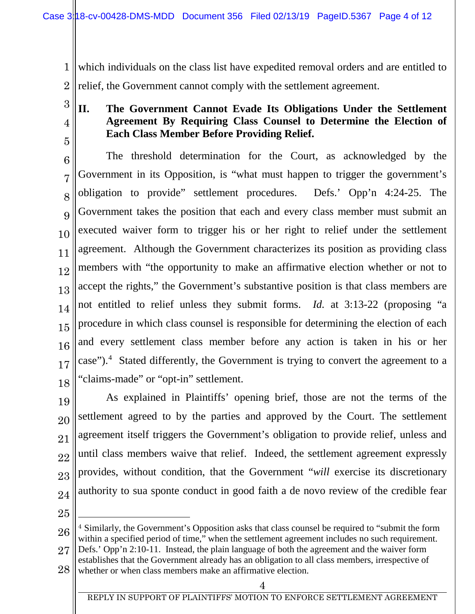1 2 which individuals on the class list have expedited removal orders and are entitled to relief, the Government cannot comply with the settlement agreement.

3 4

5

## **II. The Government Cannot Evade Its Obligations Under the Settlement Agreement By Requiring Class Counsel to Determine the Election of Each Class Member Before Providing Relief.**

6 7 8 9 10 11 12 13 14 15 16 17 18 The threshold determination for the Court, as acknowledged by the Government in its Opposition, is "what must happen to trigger the government's obligation to provide" settlement procedures. Defs.' Opp'n 4:24-25. The Government takes the position that each and every class member must submit an executed waiver form to trigger his or her right to relief under the settlement agreement. Although the Government characterizes its position as providing class members with "the opportunity to make an affirmative election whether or not to accept the rights," the Government's substantive position is that class members are not entitled to relief unless they submit forms. *Id.* at 3:13-22 (proposing "a procedure in which class counsel is responsible for determining the election of each and every settlement class member before any action is taken in his or her case").<sup>[4](#page-3-0)</sup> Stated differently, the Government is trying to convert the agreement to a "claims-made" or "opt-in" settlement.

19 20 21 22 23 24 As explained in Plaintiffs' opening brief, those are not the terms of the settlement agreed to by the parties and approved by the Court. The settlement agreement itself triggers the Government's obligation to provide relief, unless and until class members waive that relief. Indeed, the settlement agreement expressly provides, without condition, that the Government "*will* exercise its discretionary authority to sua sponte conduct in good faith a de novo review of the credible fear

25

 $\overline{a}$ 

<span id="page-3-0"></span><sup>26</sup> <sup>4</sup> Similarly, the Government's Opposition asks that class counsel be required to "submit the form within a specified period of time," when the settlement agreement includes no such requirement.

<sup>27</sup> Defs.' Opp'n 2:10-11. Instead, the plain language of both the agreement and the waiver form establishes that the Government already has an obligation to all class members, irrespective of

<sup>28</sup> whether or when class members make an affirmative election.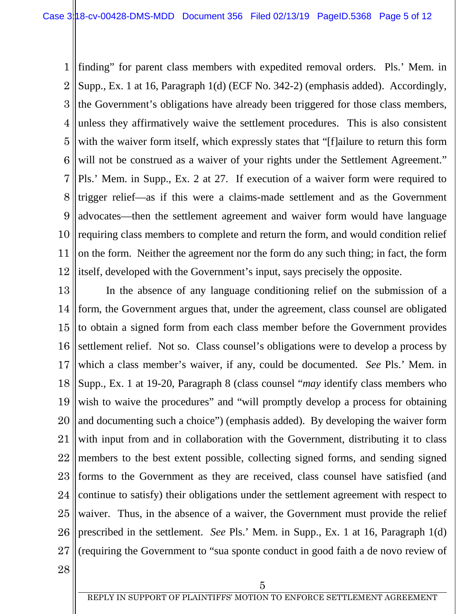1 2 3 4 5 6 7 8 9 10 11 12 finding" for parent class members with expedited removal orders. Pls.' Mem. in Supp., Ex. 1 at 16, Paragraph 1(d) (ECF No. 342-2) (emphasis added). Accordingly, the Government's obligations have already been triggered for those class members, unless they affirmatively waive the settlement procedures. This is also consistent with the waiver form itself, which expressly states that "[f]ailure to return this form will not be construed as a waiver of your rights under the Settlement Agreement." Pls.' Mem. in Supp., Ex. 2 at 27. If execution of a waiver form were required to trigger relief—as if this were a claims-made settlement and as the Government advocates—then the settlement agreement and waiver form would have language requiring class members to complete and return the form, and would condition relief on the form. Neither the agreement nor the form do any such thing; in fact, the form itself, developed with the Government's input, says precisely the opposite.

13 14 15 16 17 18 19 20 21 22 23 24 25 26 27 In the absence of any language conditioning relief on the submission of a form, the Government argues that, under the agreement, class counsel are obligated to obtain a signed form from each class member before the Government provides settlement relief. Not so. Class counsel's obligations were to develop a process by which a class member's waiver, if any, could be documented. *See* Pls.' Mem. in Supp., Ex. 1 at 19-20, Paragraph 8 (class counsel "*may* identify class members who wish to waive the procedures" and "will promptly develop a process for obtaining and documenting such a choice") (emphasis added). By developing the waiver form with input from and in collaboration with the Government, distributing it to class members to the best extent possible, collecting signed forms, and sending signed forms to the Government as they are received, class counsel have satisfied (and continue to satisfy) their obligations under the settlement agreement with respect to waiver. Thus, in the absence of a waiver, the Government must provide the relief prescribed in the settlement. *See* Pls.' Mem. in Supp., Ex. 1 at 16, Paragraph 1(d) (requiring the Government to "sua sponte conduct in good faith a de novo review of

28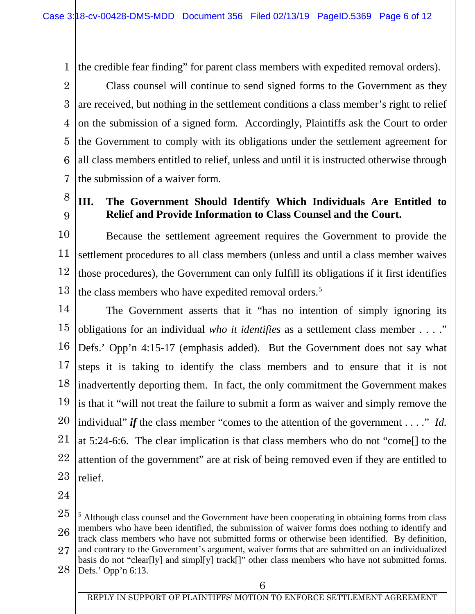1 the credible fear finding" for parent class members with expedited removal orders).

2 3 4 5 6 7 Class counsel will continue to send signed forms to the Government as they are received, but nothing in the settlement conditions a class member's right to relief on the submission of a signed form. Accordingly, Plaintiffs ask the Court to order the Government to comply with its obligations under the settlement agreement for all class members entitled to relief, unless and until it is instructed otherwise through the submission of a waiver form.

8 9

## **III. The Government Should Identify Which Individuals Are Entitled to Relief and Provide Information to Class Counsel and the Court.**

10 11 12 13 Because the settlement agreement requires the Government to provide the settlement procedures to all class members (unless and until a class member waives those procedures), the Government can only fulfill its obligations if it first identifies the class members who have expedited removal orders.<sup>[5](#page-5-0)</sup>

14 15 16 17 18 19 20 21 22 23 The Government asserts that it "has no intention of simply ignoring its obligations for an individual *who it identifies* as a settlement class member . . . ." Defs.' Opp'n 4:15-17 (emphasis added). But the Government does not say what steps it is taking to identify the class members and to ensure that it is not inadvertently deporting them. In fact, the only commitment the Government makes is that it "will not treat the failure to submit a form as waiver and simply remove the individual" *if* the class member "comes to the attention of the government . . . ." *Id.* at 5:24-6:6. The clear implication is that class members who do not "come[] to the attention of the government" are at risk of being removed even if they are entitled to relief.

24

28 Defs.' Opp'n 6:13.

<span id="page-5-0"></span><sup>25</sup> 26 27  $\overline{a}$  $<sup>5</sup>$  Although class counsel and the Government have been cooperating in obtaining forms from class</sup> members who have been identified, the submission of waiver forms does nothing to identify and track class members who have not submitted forms or otherwise been identified. By definition, and contrary to the Government's argument, waiver forms that are submitted on an individualized basis do not "clear[ly] and simpl[y] track[]" other class members who have not submitted forms.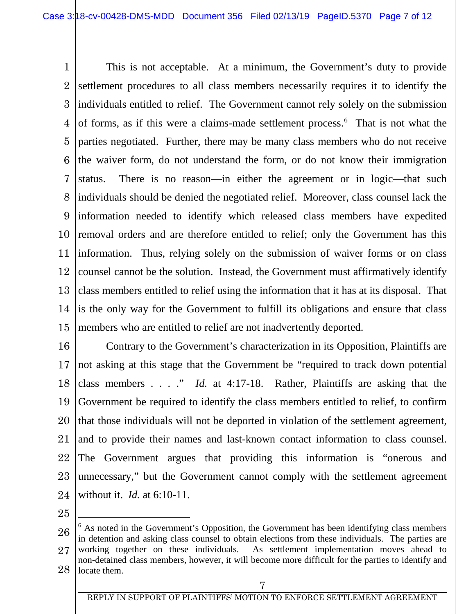1 2 3 4 5 6 7 8 9 10 11 12 13 14 15 This is not acceptable. At a minimum, the Government's duty to provide settlement procedures to all class members necessarily requires it to identify the individuals entitled to relief. The Government cannot rely solely on the submission of forms, as if this were a claims-made settlement process.<sup>[6](#page-6-0)</sup> That is not what the parties negotiated. Further, there may be many class members who do not receive the waiver form, do not understand the form, or do not know their immigration status. There is no reason—in either the agreement or in logic—that such individuals should be denied the negotiated relief. Moreover, class counsel lack the information needed to identify which released class members have expedited removal orders and are therefore entitled to relief; only the Government has this information. Thus, relying solely on the submission of waiver forms or on class counsel cannot be the solution. Instead, the Government must affirmatively identify class members entitled to relief using the information that it has at its disposal. That is the only way for the Government to fulfill its obligations and ensure that class members who are entitled to relief are not inadvertently deported.

16 17 18 19 20 21 22 23 24 Contrary to the Government's characterization in its Opposition, Plaintiffs are not asking at this stage that the Government be "required to track down potential class members . . . ." *Id.* at 4:17-18. Rather, Plaintiffs are asking that the Government be required to identify the class members entitled to relief, to confirm that those individuals will not be deported in violation of the settlement agreement, and to provide their names and last-known contact information to class counsel. The Government argues that providing this information is "onerous and unnecessary," but the Government cannot comply with the settlement agreement without it. *Id.* at 6:10-11.

25

 $\overline{a}$ 

<span id="page-6-0"></span><sup>26</sup> 27 28  $6$  As noted in the Government's Opposition, the Government has been identifying class members in detention and asking class counsel to obtain elections from these individuals. The parties are working together on these individuals. As settlement implementation moves ahead to non-detained class members, however, it will become more difficult for the parties to identify and locate them.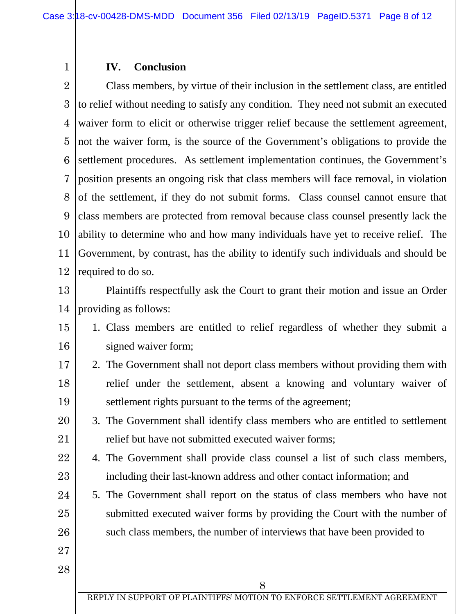## **IV. Conclusion**

2 3 4 5 6 7 8 9 10 11 12 Class members, by virtue of their inclusion in the settlement class, are entitled to relief without needing to satisfy any condition. They need not submit an executed waiver form to elicit or otherwise trigger relief because the settlement agreement, not the waiver form, is the source of the Government's obligations to provide the settlement procedures. As settlement implementation continues, the Government's position presents an ongoing risk that class members will face removal, in violation of the settlement, if they do not submit forms. Class counsel cannot ensure that class members are protected from removal because class counsel presently lack the ability to determine who and how many individuals have yet to receive relief. The Government, by contrast, has the ability to identify such individuals and should be required to do so.

13

1

14 Plaintiffs respectfully ask the Court to grant their motion and issue an Order providing as follows:

- 15 16 1. Class members are entitled to relief regardless of whether they submit a signed waiver form;
- 17 18 19 2. The Government shall not deport class members without providing them with relief under the settlement, absent a knowing and voluntary waiver of settlement rights pursuant to the terms of the agreement;
- 20 21 3. The Government shall identify class members who are entitled to settlement relief but have not submitted executed waiver forms;
- 22 23 4. The Government shall provide class counsel a list of such class members, including their last-known address and other contact information; and
- 24 25 26 5. The Government shall report on the status of class members who have not submitted executed waiver forms by providing the Court with the number of such class members, the number of interviews that have been provided to
- 27
- 28

REPLY IN SUPPORT OF PLAINTIFFS' MOTION TO ENFORCE SETTLEMENT AGREEMENT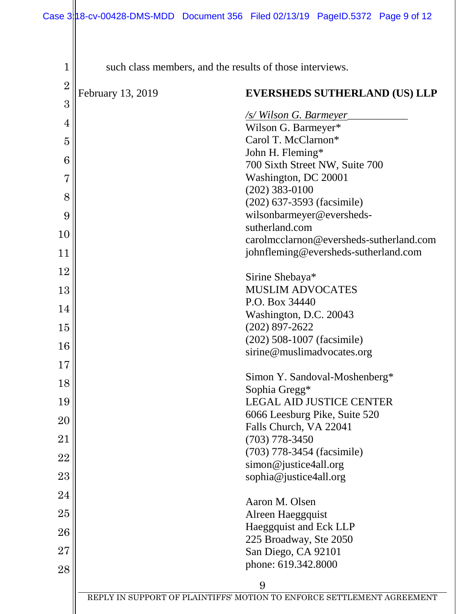| $\overline{2}$<br>February 13, 2019<br><b>EVERSHEDS SUTHERLAND (US) LLP</b><br>3<br><b>/s/Wilson G. Barmeyer</b><br>4<br>Wilson G. Barmeyer*<br>Carol T. McClarnon*<br>$\overline{5}$<br>John H. Fleming* |  |
|-----------------------------------------------------------------------------------------------------------------------------------------------------------------------------------------------------------|--|
|                                                                                                                                                                                                           |  |
|                                                                                                                                                                                                           |  |
|                                                                                                                                                                                                           |  |
|                                                                                                                                                                                                           |  |
|                                                                                                                                                                                                           |  |
| 6<br>700 Sixth Street NW, Suite 700                                                                                                                                                                       |  |
| Washington, DC 20001<br>$\overline{7}$<br>$(202)$ 383-0100                                                                                                                                                |  |
| 8<br>(202) 637-3593 (facsimile)                                                                                                                                                                           |  |
| wilsonbarmeyer@eversheds-<br>9                                                                                                                                                                            |  |
| sutherland.com                                                                                                                                                                                            |  |
| 10<br>carolmcclarnon@eversheds-sutherland.com                                                                                                                                                             |  |
| johnfleming@eversheds-sutherland.com<br>11                                                                                                                                                                |  |
| 12<br>Sirine Shebaya*                                                                                                                                                                                     |  |
| <b>MUSLIM ADVOCATES</b><br>13                                                                                                                                                                             |  |
| P.O. Box 34440                                                                                                                                                                                            |  |
| 14<br>Washington, D.C. 20043                                                                                                                                                                              |  |
| $(202)$ 897-2622<br>15                                                                                                                                                                                    |  |
| (202) 508-1007 (facsimile)<br>16                                                                                                                                                                          |  |
| sirine@muslimadvocates.org<br>17                                                                                                                                                                          |  |
| Simon Y. Sandoval-Moshenberg*                                                                                                                                                                             |  |
| 18<br>Sophia Gregg*                                                                                                                                                                                       |  |
| 19<br><b>LEGAL AID JUSTICE CENTER</b>                                                                                                                                                                     |  |
| 6066 Leesburg Pike, Suite 520<br>20                                                                                                                                                                       |  |
| Falls Church, VA 22041<br>21<br>$(703)$ 778-3450                                                                                                                                                          |  |
| (703) 778-3454 (facsimile)                                                                                                                                                                                |  |
| 22<br>simon@justice4all.org                                                                                                                                                                               |  |
| 23<br>sophia@justice4all.org                                                                                                                                                                              |  |
| 24<br>Aaron M. Olsen                                                                                                                                                                                      |  |
| 25<br>Alreen Haeggquist                                                                                                                                                                                   |  |
| Haeggquist and Eck LLP                                                                                                                                                                                    |  |
| 26<br>225 Broadway, Ste 2050                                                                                                                                                                              |  |
| 27<br>San Diego, CA 92101                                                                                                                                                                                 |  |
| phone: 619.342.8000<br>28                                                                                                                                                                                 |  |
| 9                                                                                                                                                                                                         |  |
| REPLY IN SUPPORT OF PLAINTIFFS' MOTION TO ENFORCE SETTLEMENT AGREEMENT                                                                                                                                    |  |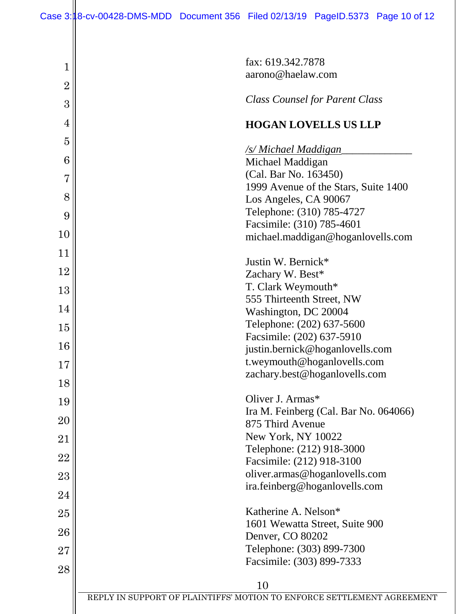| 1              | fax: 619.342.7878                                                      |
|----------------|------------------------------------------------------------------------|
| $\overline{2}$ | aarono@haelaw.com                                                      |
| 3              | <b>Class Counsel for Parent Class</b>                                  |
| 4              | <b>HOGAN LOVELLS US LLP</b>                                            |
| $\overline{5}$ |                                                                        |
| 6              | <u>/s/ Michael Maddigan</u><br>Michael Maddigan                        |
|                | (Cal. Bar No. 163450)                                                  |
| $\overline{7}$ | 1999 Avenue of the Stars, Suite 1400                                   |
| 8              | Los Angeles, CA 90067                                                  |
| 9              | Telephone: (310) 785-4727                                              |
| 10             | Facsimile: (310) 785-4601                                              |
|                | michael.maddigan@hoganlovells.com                                      |
| 11             | Justin W. Bernick*                                                     |
| 12             | Zachary W. Best*                                                       |
| 13             | T. Clark Weymouth*                                                     |
|                | 555 Thirteenth Street, NW                                              |
| 14             | Washington, DC 20004                                                   |
| 15             | Telephone: (202) 637-5600                                              |
|                | Facsimile: (202) 637-5910                                              |
| 16             | justin.bernick@hoganlovells.com                                        |
| 17             | t.weymouth@hoganlovells.com                                            |
| 18             | zachary.best@hoganlovells.com                                          |
| 19             | Oliver J. Armas*                                                       |
|                | Ira M. Feinberg (Cal. Bar No. 064066)                                  |
| 20             | 875 Third Avenue                                                       |
| $21\,$         | New York, NY 10022                                                     |
| 22             | Telephone: (212) 918-3000                                              |
|                | Facsimile: (212) 918-3100                                              |
| 23             | oliver.armas@hoganlovells.com                                          |
| 24             | ira.feinberg@hoganlovells.com                                          |
| 25             | Katherine A. Nelson*                                                   |
|                | 1601 Wewatta Street, Suite 900                                         |
| 26             | Denver, CO 80202                                                       |
| 27             | Telephone: (303) 899-7300                                              |
| 28             | Facsimile: (303) 899-7333                                              |
|                | 10                                                                     |
|                | REPLY IN SUPPORT OF PLAINTIFFS' MOTION TO ENFORCE SETTLEMENT AGREEMENT |
|                |                                                                        |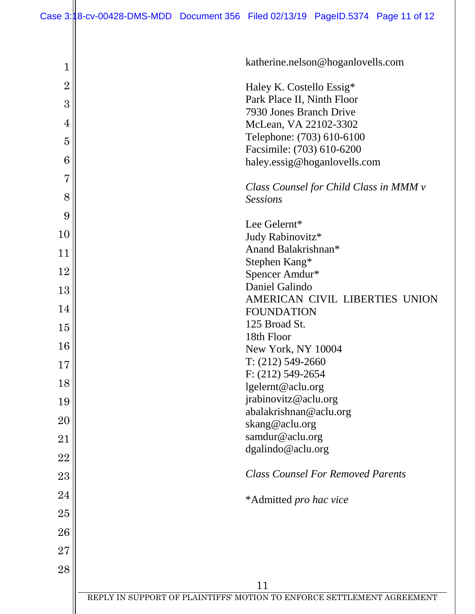| 1              | katherine.nelson@hoganlovells.com                                      |
|----------------|------------------------------------------------------------------------|
| $\overline{2}$ | Haley K. Costello Essig*                                               |
| 3              | Park Place II, Ninth Floor                                             |
|                | 7930 Jones Branch Drive                                                |
| 4              | McLean, VA 22102-3302                                                  |
| 5              | Telephone: (703) 610-6100                                              |
| 6              | Facsimile: (703) 610-6200<br>haley.essig@hoganlovells.com              |
| $\overline{7}$ |                                                                        |
| 8              | Class Counsel for Child Class in MMM v<br><b>Sessions</b>              |
| 9              |                                                                        |
|                | Lee Gelernt*                                                           |
| 10             | Judy Rabinovitz*                                                       |
| 11             | Anand Balakrishnan*                                                    |
| 12             | Stephen Kang*                                                          |
|                | Spencer Amdur*                                                         |
| 13             | Daniel Galindo<br>AMERICAN CIVIL LIBERTIES UNION                       |
| 14             | <b>FOUNDATION</b>                                                      |
|                | 125 Broad St.                                                          |
| 15             | 18th Floor                                                             |
| 16             | New York, NY 10004                                                     |
| 17             | $T: (212) 549-2660$                                                    |
|                | $F: (212) 549 - 2654$                                                  |
| 18             | lgelernt@aclu.org                                                      |
| 19             | jrabinovitz@aclu.org                                                   |
| 20             | abalakrishnan@aclu.org                                                 |
|                | skang@aclu.org                                                         |
| 21             | samdur@aclu.org<br>dgalindo@aclu.org                                   |
| 22             |                                                                        |
| 23             | <b>Class Counsel For Removed Parents</b>                               |
| 24             | *Admitted pro hac vice                                                 |
| 25             |                                                                        |
| 26             |                                                                        |
| 27             |                                                                        |
| 28             |                                                                        |
|                | 11                                                                     |
|                | REPLY IN SUPPORT OF PLAINTIFFS' MOTION TO ENFORCE SETTLEMENT AGREEMENT |
|                |                                                                        |